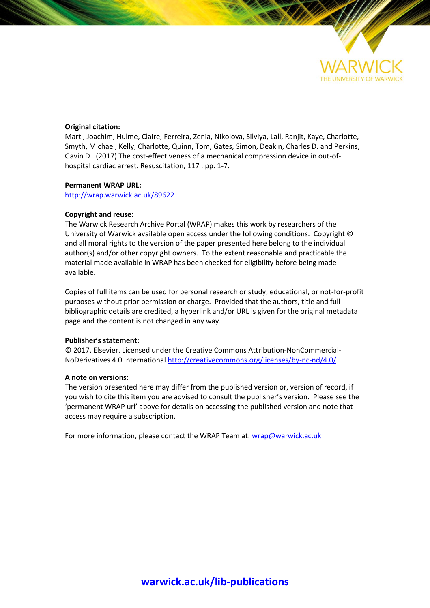

## **Original citation:**

Marti, Joachim, Hulme, Claire, Ferreira, Zenia, Nikolova, Silviya, Lall, Ranjit, Kaye, Charlotte, Smyth, Michael, Kelly, Charlotte, Quinn, Tom, Gates, Simon, Deakin, Charles D. and Perkins, Gavin D.. (2017) The cost-effectiveness of a mechanical compression device in out-ofhospital cardiac arrest. Resuscitation, 117 . pp. 1-7.

## **Permanent WRAP URL:**

<http://wrap.warwick.ac.uk/89622>

## **Copyright and reuse:**

The Warwick Research Archive Portal (WRAP) makes this work by researchers of the University of Warwick available open access under the following conditions. Copyright © and all moral rights to the version of the paper presented here belong to the individual author(s) and/or other copyright owners. To the extent reasonable and practicable the material made available in WRAP has been checked for eligibility before being made available.

Copies of full items can be used for personal research or study, educational, or not-for-profit purposes without prior permission or charge. Provided that the authors, title and full bibliographic details are credited, a hyperlink and/or URL is given for the original metadata page and the content is not changed in any way.

## **Publisher's statement:**

© 2017, Elsevier. Licensed under the Creative Commons Attribution-NonCommercial-NoDerivatives 4.0 International<http://creativecommons.org/licenses/by-nc-nd/4.0/>

### **A note on versions:**

The version presented here may differ from the published version or, version of record, if you wish to cite this item you are advised to consult the publisher's version. Please see the 'permanent WRAP url' above for details on accessing the published version and note that access may require a subscription.

For more information, please contact the WRAP Team at[: wrap@warwick.ac.uk](mailto:wrap@warwick.ac.uk)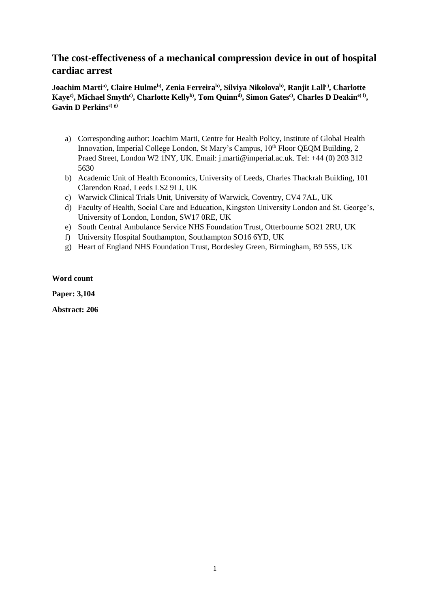# **The cost-effectiveness of a mechanical compression device in out of hospital cardiac arrest**

**Joachim Martia) , Claire Hulmeb) , Zenia Ferreirab) , Silviya Nikolovab) , Ranjit Lallc) , Charlotte**  Kaye<sup>c)</sup>, Michael Smyth<sup>c)</sup>, Charlotte Kelly<sup>b)</sup>, Tom Quinn<sup>d</sup>), Simon Gates<sup>c)</sup>, Charles D Deakin<sup>e) f)</sup>, **Gavin D Perkinsc) g)**

- a) Corresponding author: Joachim Marti, Centre for Health Policy, Institute of Global Health Innovation, Imperial College London, St Mary's Campus, 10<sup>th</sup> Floor QEQM Building, 2 Praed Street, London W2 1NY, UK. Email: j.marti@imperial.ac.uk. Tel: +44 (0) 203 312 5630
- b) Academic Unit of Health Economics, University of Leeds, Charles Thackrah Building, 101 Clarendon Road, Leeds LS2 9LJ, UK
- c) Warwick Clinical Trials Unit, University of Warwick, Coventry, CV4 7AL, UK
- d) Faculty of Health, Social Care and Education, Kingston University London and St. George's, University of London, London, SW17 0RE, UK
- e) South Central Ambulance Service NHS Foundation Trust, Otterbourne SO21 2RU, UK
- f) University Hospital Southampton, Southampton SO16 6YD, UK
- g) Heart of England NHS Foundation Trust, Bordesley Green, Birmingham, B9 5SS, UK

## **Word count**

**Paper: 3,104**

**Abstract: 206**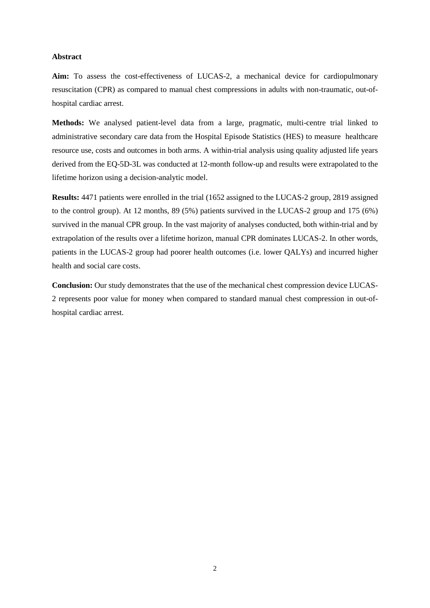### **Abstract**

Aim: To assess the cost-effectiveness of LUCAS-2, a mechanical device for cardiopulmonary resuscitation (CPR) as compared to manual chest compressions in adults with non-traumatic, out-ofhospital cardiac arrest.

**Methods:** We analysed patient-level data from a large, pragmatic, multi-centre trial linked to administrative secondary care data from the Hospital Episode Statistics (HES) to measure healthcare resource use, costs and outcomes in both arms. A within-trial analysis using quality adjusted life years derived from the EQ-5D-3L was conducted at 12-month follow-up and results were extrapolated to the lifetime horizon using a decision-analytic model.

**Results:** 4471 patients were enrolled in the trial (1652 assigned to the LUCAS-2 group, 2819 assigned to the control group). At 12 months, 89 (5%) patients survived in the LUCAS-2 group and 175 (6%) survived in the manual CPR group. In the vast majority of analyses conducted, both within-trial and by extrapolation of the results over a lifetime horizon, manual CPR dominates LUCAS-2. In other words, patients in the LUCAS-2 group had poorer health outcomes (i.e. lower QALYs) and incurred higher health and social care costs.

**Conclusion:** Our study demonstrates that the use of the mechanical chest compression device LUCAS-2 represents poor value for money when compared to standard manual chest compression in out-ofhospital cardiac arrest.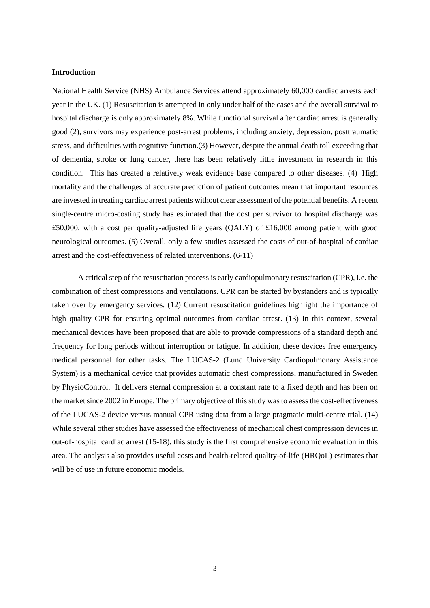## **Introduction**

National Health Service (NHS) Ambulance Services attend approximately 60,000 cardiac arrests each year in the UK. (1) Resuscitation is attempted in only under half of the cases and the overall survival to hospital discharge is only approximately 8%. While functional survival after cardiac arrest is generally good (2), survivors may experience post-arrest problems, including anxiety, depression, posttraumatic stress, and difficulties with cognitive function.(3) However, despite the annual death toll exceeding that of dementia, stroke or lung cancer, there has been relatively little investment in research in this condition. This has created a relatively weak evidence base compared to other diseases. (4) High mortality and the challenges of accurate prediction of patient outcomes mean that important resources are invested in treating cardiac arrest patients without clear assessment of the potential benefits. A recent single-centre micro-costing study has estimated that the cost per survivor to hospital discharge was £50,000, with a cost per quality-adjusted life years (QALY) of £16,000 among patient with good neurological outcomes. (5) Overall, only a few studies assessed the costs of out-of-hospital of cardiac arrest and the cost-effectiveness of related interventions. (6-11)

A critical step of the resuscitation process is early cardiopulmonary resuscitation (CPR), i.e. the combination of chest compressions and ventilations. CPR can be started by bystanders and is typically taken over by emergency services. (12) Current resuscitation guidelines highlight the importance of high quality CPR for ensuring optimal outcomes from cardiac arrest. (13) In this context, several mechanical devices have been proposed that are able to provide compressions of a standard depth and frequency for long periods without interruption or fatigue. In addition, these devices free emergency medical personnel for other tasks. The LUCAS-2 (Lund University Cardiopulmonary Assistance System) is a mechanical device that provides automatic chest compressions, manufactured in Sweden by PhysioControl. It delivers sternal compression at a constant rate to a fixed depth and has been on the market since 2002 in Europe. The primary objective of this study wasto assess the cost-effectiveness of the LUCAS-2 device versus manual CPR using data from a large pragmatic multi-centre trial. (14) While several other studies have assessed the effectiveness of mechanical chest compression devices in out-of-hospital cardiac arrest (15-18), this study is the first comprehensive economic evaluation in this area. The analysis also provides useful costs and health-related quality-of-life (HRQoL) estimates that will be of use in future economic models.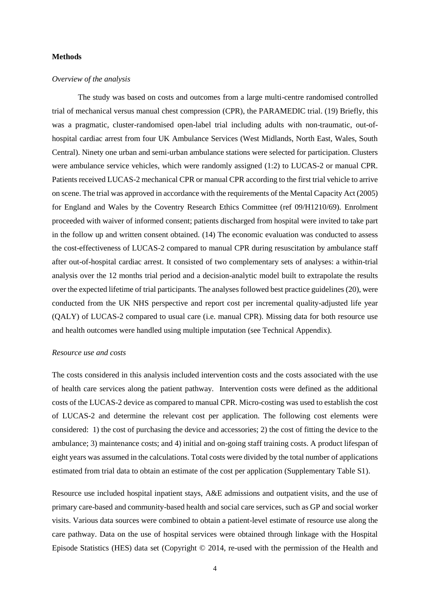### **Methods**

#### *Overview of the analysis*

The study was based on costs and outcomes from a large multi-centre randomised controlled trial of mechanical versus manual chest compression (CPR), the PARAMEDIC trial. (19) Briefly, this was a pragmatic, cluster-randomised open-label trial including adults with non-traumatic, out-ofhospital cardiac arrest from four UK Ambulance Services (West Midlands, North East, Wales, South Central). Ninety one urban and semi-urban ambulance stations were selected for participation. Clusters were ambulance service vehicles, which were randomly assigned (1:2) to LUCAS-2 or manual CPR. Patients received LUCAS-2 mechanical CPR or manual CPR according to the first trial vehicle to arrive on scene. The trial was approved in accordance with the requirements of the Mental Capacity Act (2005) for England and Wales by the Coventry Research Ethics Committee (ref 09/H1210/69). Enrolment proceeded with waiver of informed consent; patients discharged from hospital were invited to take part in the follow up and written consent obtained. (14) The economic evaluation was conducted to assess the cost-effectiveness of LUCAS-2 compared to manual CPR during resuscitation by ambulance staff after out-of-hospital cardiac arrest. It consisted of two complementary sets of analyses: a within-trial analysis over the 12 months trial period and a decision-analytic model built to extrapolate the results over the expected lifetime of trial participants. The analyses followed best practice guidelines (20), were conducted from the UK NHS perspective and report cost per incremental quality-adjusted life year (QALY) of LUCAS-2 compared to usual care (i.e. manual CPR). Missing data for both resource use and health outcomes were handled using multiple imputation (see Technical Appendix).

#### *Resource use and costs*

The costs considered in this analysis included intervention costs and the costs associated with the use of health care services along the patient pathway. Intervention costs were defined as the additional costs of the LUCAS-2 device as compared to manual CPR. Micro-costing was used to establish the cost of LUCAS-2 and determine the relevant cost per application. The following cost elements were considered: 1) the cost of purchasing the device and accessories; 2) the cost of fitting the device to the ambulance; 3) maintenance costs; and 4) initial and on-going staff training costs. A product lifespan of eight years was assumed in the calculations. Total costs were divided by the total number of applications estimated from trial data to obtain an estimate of the cost per application (Supplementary Table S1).

Resource use included hospital inpatient stays, A&E admissions and outpatient visits, and the use of primary care-based and community-based health and social care services, such as GP and social worker visits. Various data sources were combined to obtain a patient-level estimate of resource use along the care pathway. Data on the use of hospital services were obtained through linkage with the Hospital Episode Statistics (HES) data set (Copyright © 2014, re-used with the permission of the Health and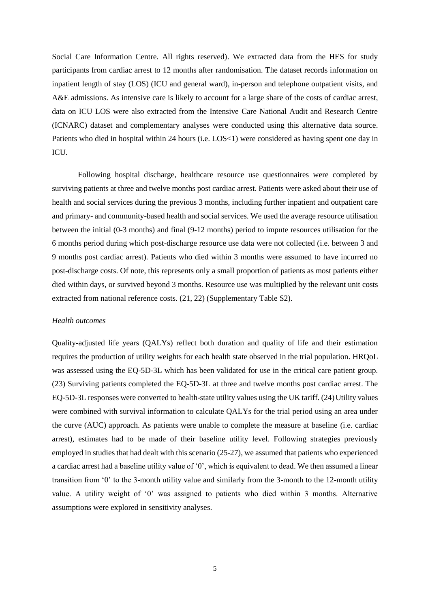Social Care Information Centre. All rights reserved). We extracted data from the HES for study participants from cardiac arrest to 12 months after randomisation. The dataset records information on inpatient length of stay (LOS) (ICU and general ward), in-person and telephone outpatient visits, and A&E admissions. As intensive care is likely to account for a large share of the costs of cardiac arrest, data on ICU LOS were also extracted from the Intensive Care National Audit and Research Centre (ICNARC) dataset and complementary analyses were conducted using this alternative data source. Patients who died in hospital within 24 hours (i.e. LOS<1) were considered as having spent one day in ICU.

Following hospital discharge, healthcare resource use questionnaires were completed by surviving patients at three and twelve months post cardiac arrest. Patients were asked about their use of health and social services during the previous 3 months, including further inpatient and outpatient care and primary- and community-based health and social services. We used the average resource utilisation between the initial (0-3 months) and final (9-12 months) period to impute resources utilisation for the 6 months period during which post-discharge resource use data were not collected (i.e. between 3 and 9 months post cardiac arrest). Patients who died within 3 months were assumed to have incurred no post-discharge costs. Of note, this represents only a small proportion of patients as most patients either died within days, or survived beyond 3 months. Resource use was multiplied by the relevant unit costs extracted from national reference costs. (21, 22) (Supplementary Table S2).

## *Health outcomes*

Quality-adjusted life years (QALYs) reflect both duration and quality of life and their estimation requires the production of utility weights for each health state observed in the trial population. HRQoL was assessed using the EQ-5D-3L which has been validated for use in the critical care patient group. (23) Surviving patients completed the EQ-5D-3L at three and twelve months post cardiac arrest. The EQ-5D-3L responses were converted to health-state utility values using the UK tariff. (24)Utility values were combined with survival information to calculate QALYs for the trial period using an area under the curve (AUC) approach. As patients were unable to complete the measure at baseline (i.e. cardiac arrest), estimates had to be made of their baseline utility level. Following strategies previously employed in studies that had dealt with this scenario (25-27), we assumed that patients who experienced a cardiac arrest had a baseline utility value of '0', which is equivalent to dead. We then assumed a linear transition from '0' to the 3-month utility value and similarly from the 3-month to the 12-month utility value. A utility weight of '0' was assigned to patients who died within 3 months. Alternative assumptions were explored in sensitivity analyses.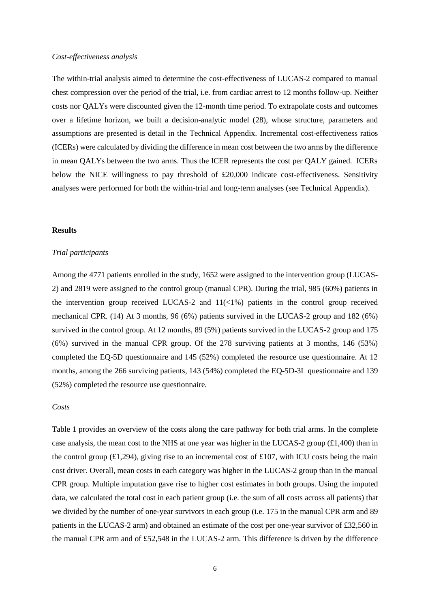### *Cost-effectiveness analysis*

The within-trial analysis aimed to determine the cost-effectiveness of LUCAS-2 compared to manual chest compression over the period of the trial, i.e. from cardiac arrest to 12 months follow-up. Neither costs nor QALYs were discounted given the 12-month time period. To extrapolate costs and outcomes over a lifetime horizon, we built a decision-analytic model (28), whose structure, parameters and assumptions are presented is detail in the Technical Appendix. Incremental cost-effectiveness ratios (ICERs) were calculated by dividing the difference in mean cost between the two arms by the difference in mean QALYs between the two arms. Thus the ICER represents the cost per QALY gained. ICERs below the NICE willingness to pay threshold of £20,000 indicate cost-effectiveness. Sensitivity analyses were performed for both the within-trial and long-term analyses (see Technical Appendix).

## **Results**

#### *Trial participants*

Among the 4771 patients enrolled in the study, 1652 were assigned to the intervention group (LUCAS-2) and 2819 were assigned to the control group (manual CPR). During the trial, 985 (60%) patients in the intervention group received LUCAS-2 and  $11\left(\frac{1}{6}\right)$  patients in the control group received mechanical CPR. (14) At 3 months, 96 (6%) patients survived in the LUCAS-2 group and 182 (6%) survived in the control group. At 12 months, 89 (5%) patients survived in the LUCAS-2 group and 175 (6%) survived in the manual CPR group. Of the 278 surviving patients at 3 months, 146 (53%) completed the EQ-5D questionnaire and 145 (52%) completed the resource use questionnaire. At 12 months, among the 266 surviving patients, 143 (54%) completed the EQ-5D-3L questionnaire and 139 (52%) completed the resource use questionnaire.

### *Costs*

Table 1 provides an overview of the costs along the care pathway for both trial arms. In the complete case analysis, the mean cost to the NHS at one year was higher in the LUCAS-2 group  $(\text{\textsterling}1,400)$  than in the control group (£1,294), giving rise to an incremental cost of £107, with ICU costs being the main cost driver. Overall, mean costs in each category was higher in the LUCAS-2 group than in the manual CPR group. Multiple imputation gave rise to higher cost estimates in both groups. Using the imputed data, we calculated the total cost in each patient group (i.e. the sum of all costs across all patients) that we divided by the number of one-year survivors in each group (i.e. 175 in the manual CPR arm and 89 patients in the LUCAS-2 arm) and obtained an estimate of the cost per one-year survivor of £32,560 in the manual CPR arm and of £52,548 in the LUCAS-2 arm. This difference is driven by the difference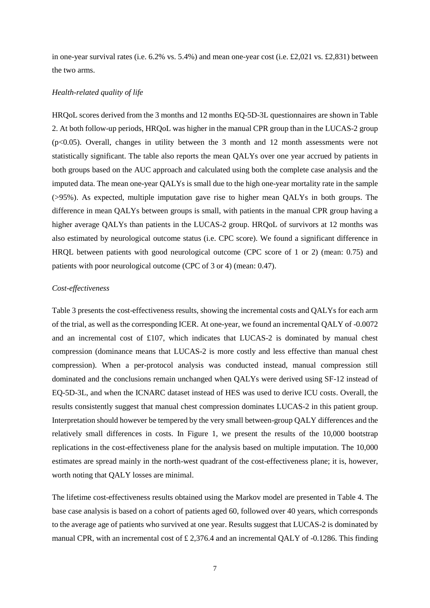in one-year survival rates (i.e.  $6.2\%$  vs.  $5.4\%$ ) and mean one-year cost (i.e.  $\text{\textsterling}2,021$  vs.  $\text{\textsterling}2,831$ ) between the two arms.

#### *Health-related quality of life*

HRQoL scores derived from the 3 months and 12 months EQ-5D-3L questionnaires are shown in Table 2. At both follow-up periods, HRQoL was higher in the manual CPR group than in the LUCAS-2 group  $(p<0.05)$ . Overall, changes in utility between the 3 month and 12 month assessments were not statistically significant. The table also reports the mean QALYs over one year accrued by patients in both groups based on the AUC approach and calculated using both the complete case analysis and the imputed data. The mean one-year QALYs is small due to the high one-year mortality rate in the sample (>95%). As expected, multiple imputation gave rise to higher mean QALYs in both groups. The difference in mean QALYs between groups is small, with patients in the manual CPR group having a higher average QALYs than patients in the LUCAS-2 group. HRQoL of survivors at 12 months was also estimated by neurological outcome status (i.e. CPC score). We found a significant difference in HRQL between patients with good neurological outcome (CPC score of 1 or 2) (mean: 0.75) and patients with poor neurological outcome (CPC of 3 or 4) (mean: 0.47).

## *Cost-effectiveness*

Table 3 presents the cost-effectiveness results, showing the incremental costs and QALYs for each arm of the trial, as well as the corresponding ICER. At one-year, we found an incremental QALY of -0.0072 and an incremental cost of £107, which indicates that LUCAS-2 is dominated by manual chest compression (dominance means that LUCAS-2 is more costly and less effective than manual chest compression). When a per-protocol analysis was conducted instead, manual compression still dominated and the conclusions remain unchanged when QALYs were derived using SF-12 instead of EQ-5D-3L, and when the ICNARC dataset instead of HES was used to derive ICU costs. Overall, the results consistently suggest that manual chest compression dominates LUCAS-2 in this patient group. Interpretation should however be tempered by the very small between-group QALY differences and the relatively small differences in costs. In Figure 1, we present the results of the 10,000 bootstrap replications in the cost-effectiveness plane for the analysis based on multiple imputation. The 10,000 estimates are spread mainly in the north-west quadrant of the cost-effectiveness plane; it is, however, worth noting that QALY losses are minimal.

The lifetime cost-effectiveness results obtained using the Markov model are presented in Table 4. The base case analysis is based on a cohort of patients aged 60, followed over 40 years, which corresponds to the average age of patients who survived at one year. Results suggest that LUCAS-2 is dominated by manual CPR, with an incremental cost of  $\pounds$  2,376.4 and an incremental QALY of -0.1286. This finding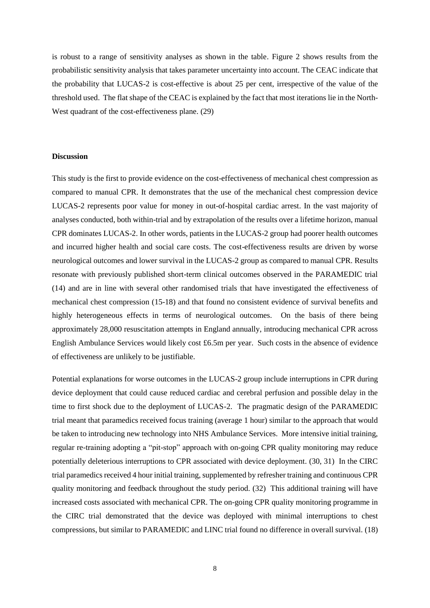is robust to a range of sensitivity analyses as shown in the table. Figure 2 shows results from the probabilistic sensitivity analysis that takes parameter uncertainty into account. The CEAC indicate that the probability that LUCAS-2 is cost-effective is about 25 per cent, irrespective of the value of the threshold used. The flat shape of the CEAC is explained by the fact that most iterations lie in the North-West quadrant of the cost-effectiveness plane. (29)

### **Discussion**

This study is the first to provide evidence on the cost-effectiveness of mechanical chest compression as compared to manual CPR. It demonstrates that the use of the mechanical chest compression device LUCAS-2 represents poor value for money in out-of-hospital cardiac arrest. In the vast majority of analyses conducted, both within-trial and by extrapolation of the results over a lifetime horizon, manual CPR dominates LUCAS-2. In other words, patients in the LUCAS-2 group had poorer health outcomes and incurred higher health and social care costs. The cost-effectiveness results are driven by worse neurological outcomes and lower survival in the LUCAS-2 group as compared to manual CPR. Results resonate with previously published short-term clinical outcomes observed in the PARAMEDIC trial (14) and are in line with several other randomised trials that have investigated the effectiveness of mechanical chest compression (15-18) and that found no consistent evidence of survival benefits and highly heterogeneous effects in terms of neurological outcomes. On the basis of there being approximately 28,000 resuscitation attempts in England annually, introducing mechanical CPR across English Ambulance Services would likely cost £6.5m per year. Such costs in the absence of evidence of effectiveness are unlikely to be justifiable.

Potential explanations for worse outcomes in the LUCAS-2 group include interruptions in CPR during device deployment that could cause reduced cardiac and cerebral perfusion and possible delay in the time to first shock due to the deployment of LUCAS-2. The pragmatic design of the PARAMEDIC trial meant that paramedics received focus training (average 1 hour) similar to the approach that would be taken to introducing new technology into NHS Ambulance Services. More intensive initial training, regular re-training adopting a "pit-stop" approach with on-going CPR quality monitoring may reduce potentially deleterious interruptions to CPR associated with device deployment. (30, 31) In the CIRC trial paramedics received 4 hour initial training, supplemented by refresher training and continuous CPR quality monitoring and feedback throughout the study period. (32) This additional training will have increased costs associated with mechanical CPR. The on-going CPR quality monitoring programme in the CIRC trial demonstrated that the device was deployed with minimal interruptions to chest compressions, but similar to PARAMEDIC and LINC trial found no difference in overall survival. (18)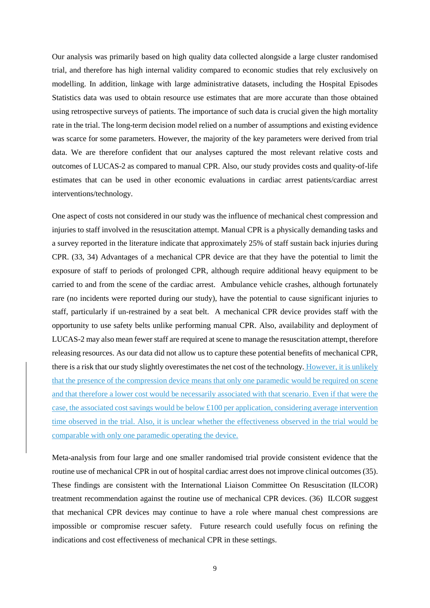Our analysis was primarily based on high quality data collected alongside a large cluster randomised trial, and therefore has high internal validity compared to economic studies that rely exclusively on modelling. In addition, linkage with large administrative datasets, including the Hospital Episodes Statistics data was used to obtain resource use estimates that are more accurate than those obtained using retrospective surveys of patients. The importance of such data is crucial given the high mortality rate in the trial. The long-term decision model relied on a number of assumptions and existing evidence was scarce for some parameters. However, the majority of the key parameters were derived from trial data. We are therefore confident that our analyses captured the most relevant relative costs and outcomes of LUCAS-2 as compared to manual CPR. Also, our study provides costs and quality-of-life estimates that can be used in other economic evaluations in cardiac arrest patients/cardiac arrest interventions/technology.

One aspect of costs not considered in our study was the influence of mechanical chest compression and injuries to staff involved in the resuscitation attempt. Manual CPR is a physically demanding tasks and a survey reported in the literature indicate that approximately 25% of staff sustain back injuries during CPR. (33, 34) Advantages of a mechanical CPR device are that they have the potential to limit the exposure of staff to periods of prolonged CPR, although require additional heavy equipment to be carried to and from the scene of the cardiac arrest. Ambulance vehicle crashes, although fortunately rare (no incidents were reported during our study), have the potential to cause significant injuries to staff, particularly if un-restrained by a seat belt. A mechanical CPR device provides staff with the opportunity to use safety belts unlike performing manual CPR. Also, availability and deployment of LUCAS-2 may also mean fewer staff are required at scene to manage the resuscitation attempt, therefore releasing resources. As our data did not allow us to capture these potential benefits of mechanical CPR, there is a risk that our study slightly overestimates the net cost of the technology. However, it is unlikely that the presence of the compression device means that only one paramedic would be required on scene and that therefore a lower cost would be necessarily associated with that scenario. Even if that were the case, the associated cost savings would be below £100 per application, considering average intervention time observed in the trial. Also, it is unclear whether the effectiveness observed in the trial would be comparable with only one paramedic operating the device.

Meta-analysis from four large and one smaller randomised trial provide consistent evidence that the routine use of mechanical CPR in out of hospital cardiac arrest does not improve clinical outcomes (35). These findings are consistent with the International Liaison Committee On Resuscitation (ILCOR) treatment recommendation against the routine use of mechanical CPR devices. (36) ILCOR suggest that mechanical CPR devices may continue to have a role where manual chest compressions are impossible or compromise rescuer safety. Future research could usefully focus on refining the indications and cost effectiveness of mechanical CPR in these settings.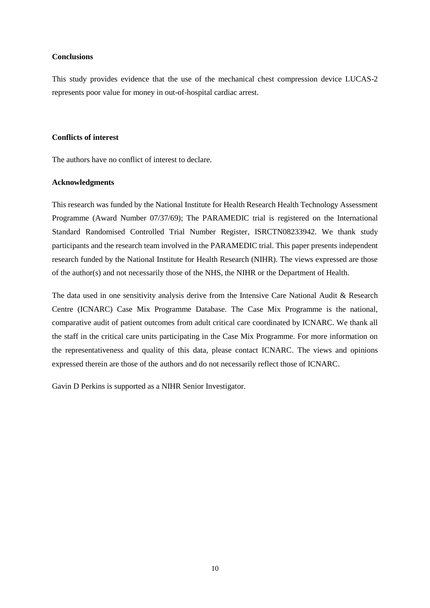### **Conclusions**

This study provides evidence that the use of the mechanical chest compression device LUCAS-2 represents poor value for money in out-of-hospital cardiac arrest.

## **Conflicts of interest**

The authors have no conflict of interest to declare.

#### **Acknowledgments**

This research was funded by the National Institute for Health Research Health Technology Assessment Programme (Award Number 07/37/69); The PARAMEDIC trial is registered on the International Standard Randomised Controlled Trial Number Register, ISRCTN08233942. We thank study participants and the research team involved in the PARAMEDIC trial. This paper presents independent research funded by the National Institute for Health Research (NIHR). The views expressed are those of the author(s) and not necessarily those of the NHS, the NIHR or the Department of Health.

The data used in one sensitivity analysis derive from the Intensive Care National Audit & Research Centre (ICNARC) Case Mix Programme Database. The Case Mix Programme is the national, comparative audit of patient outcomes from adult critical care coordinated by ICNARC. We thank all the staff in the critical care units participating in the Case Mix Programme. For more information on the representativeness and quality of this data, please contact ICNARC. The views and opinions expressed therein are those of the authors and do not necessarily reflect those of ICNARC.

Gavin D Perkins is supported as a NIHR Senior Investigator.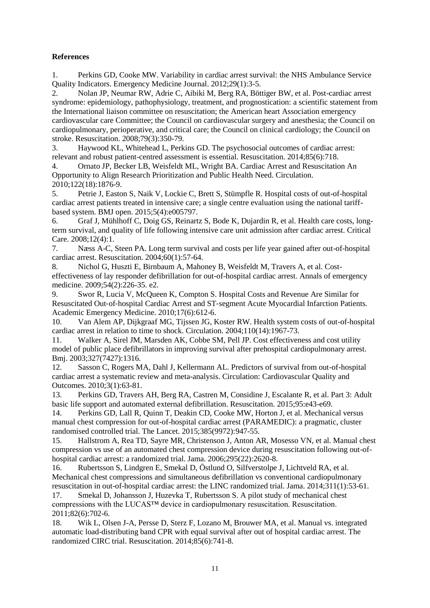## **References**

1. Perkins GD, Cooke MW. Variability in cardiac arrest survival: the NHS Ambulance Service Quality Indicators. Emergency Medicine Journal. 2012;29(1):3-5.

2. Nolan JP, Neumar RW, Adrie C, Aibiki M, Berg RA, Böttiger BW, et al. Post-cardiac arrest syndrome: epidemiology, pathophysiology, treatment, and prognostication: a scientific statement from the International liaison committee on resuscitation; the American heart Association emergency cardiovascular care Committee; the Council on cardiovascular surgery and anesthesia; the Council on cardiopulmonary, perioperative, and critical care; the Council on clinical cardiology; the Council on stroke. Resuscitation. 2008;79(3):350-79.

3. Haywood KL, Whitehead L, Perkins GD. The psychosocial outcomes of cardiac arrest: relevant and robust patient-centred assessment is essential. Resuscitation. 2014;85(6):718.

4. Ornato JP, Becker LB, Weisfeldt ML, Wright BA. Cardiac Arrest and Resuscitation An Opportunity to Align Research Prioritization and Public Health Need. Circulation. 2010;122(18):1876-9.

5. Petrie J, Easton S, Naik V, Lockie C, Brett S, Stümpfle R. Hospital costs of out-of-hospital cardiac arrest patients treated in intensive care; a single centre evaluation using the national tariffbased system. BMJ open. 2015;5(4):e005797.

6. Graf J, Mühlhoff C, Doig GS, Reinartz S, Bode K, Dujardin R, et al. Health care costs, longterm survival, and quality of life following intensive care unit admission after cardiac arrest. Critical Care. 2008;12(4):1.

7. Næss A-C, Steen PA. Long term survival and costs per life year gained after out-of-hospital cardiac arrest. Resuscitation. 2004;60(1):57-64.

8. Nichol G, Huszti E, Birnbaum A, Mahoney B, Weisfeldt M, Travers A, et al. Costeffectiveness of lay responder defibrillation for out-of-hospital cardiac arrest. Annals of emergency medicine. 2009;54(2):226-35. e2.

9. Swor R, Lucia V, McQueen K, Compton S. Hospital Costs and Revenue Are Similar for Resuscitated Out‐of‐hospital Cardiac Arrest and ST‐segment Acute Myocardial Infarction Patients. Academic Emergency Medicine. 2010;17(6):612-6.

10. Van Alem AP, Dijkgraaf MG, Tijssen JG, Koster RW. Health system costs of out-of-hospital cardiac arrest in relation to time to shock. Circulation. 2004;110(14):1967-73.

11. Walker A, Sirel JM, Marsden AK, Cobbe SM, Pell JP. Cost effectiveness and cost utility model of public place defibrillators in improving survival after prehospital cardiopulmonary arrest. Bmj. 2003;327(7427):1316.

12. Sasson C, Rogers MA, Dahl J, Kellermann AL. Predictors of survival from out-of-hospital cardiac arrest a systematic review and meta-analysis. Circulation: Cardiovascular Quality and Outcomes. 2010;3(1):63-81.

13. Perkins GD, Travers AH, Berg RA, Castren M, Considine J, Escalante R, et al. Part 3: Adult basic life support and automated external defibrillation. Resuscitation. 2015;95:e43-e69.

14. Perkins GD, Lall R, Quinn T, Deakin CD, Cooke MW, Horton J, et al. Mechanical versus manual chest compression for out-of-hospital cardiac arrest (PARAMEDIC): a pragmatic, cluster randomised controlled trial. The Lancet. 2015;385(9972):947-55.

15. Hallstrom A, Rea TD, Sayre MR, Christenson J, Anton AR, Mosesso VN, et al. Manual chest compression vs use of an automated chest compression device during resuscitation following out-ofhospital cardiac arrest: a randomized trial. Jama. 2006;295(22):2620-8.

16. Rubertsson S, Lindgren E, Smekal D, Östlund O, Silfverstolpe J, Lichtveld RA, et al. Mechanical chest compressions and simultaneous defibrillation vs conventional cardiopulmonary resuscitation in out-of-hospital cardiac arrest: the LINC randomized trial. Jama. 2014;311(1):53-61.

17. Smekal D, Johansson J, Huzevka T, Rubertsson S. A pilot study of mechanical chest compressions with the LUCAS™ device in cardiopulmonary resuscitation. Resuscitation. 2011;82(6):702-6.

18. Wik L, Olsen J-A, Persse D, Sterz F, Lozano M, Brouwer MA, et al. Manual vs. integrated automatic load-distributing band CPR with equal survival after out of hospital cardiac arrest. The randomized CIRC trial. Resuscitation. 2014;85(6):741-8.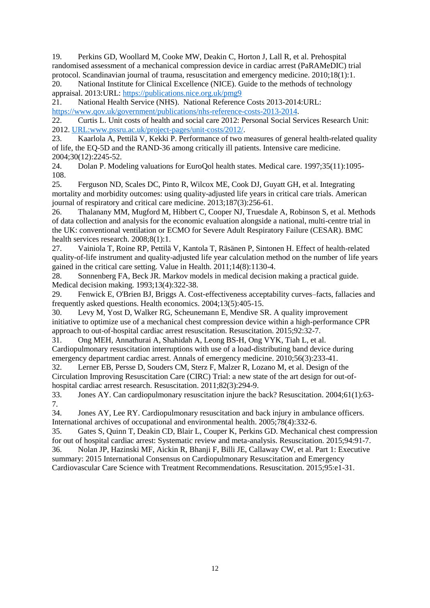19. Perkins GD, Woollard M, Cooke MW, Deakin C, Horton J, Lall R, et al. Prehospital randomised assessment of a mechanical compression device in cardiac arrest (PaRAMeDIC) trial protocol. Scandinavian journal of trauma, resuscitation and emergency medicine. 2010;18(1):1.

20. National Institute for Clinical Excellence (NICE). Guide to the methods of technology appraisal. 2013:URL: <https://publications.nice.org.uk/pmg9>

21. National Health Service (NHS). National Reference Costs 2013-2014:URL: [https://www.qov.uk/government/publications/nhs-reference-costs-2013-2014.](https://www.qov.uk/government/publications/nhs-reference-costs-2013-2014)

22. Curtis L. Unit costs of health and social care 2012: Personal Social Services Research Unit: 2012. [URL:www.pssru.ac.uk/project-pages/unit-costs/2012/.](file:///C:/Users/jemarti/Dropbox/Paramedic/FINAL%20PAPER%20-%20RESU/www.pssru.ac.uk/project-pages/unit-costs/2012/)

23. Kaarlola A, Pettilä V, Kekki P. Performance of two measures of general health-related quality of life, the EQ-5D and the RAND-36 among critically ill patients. Intensive care medicine. 2004;30(12):2245-52.

24. Dolan P. Modeling valuations for EuroQol health states. Medical care. 1997;35(11):1095- 108.

25. Ferguson ND, Scales DC, Pinto R, Wilcox ME, Cook DJ, Guyatt GH, et al. Integrating mortality and morbidity outcomes: using quality-adjusted life years in critical care trials. American journal of respiratory and critical care medicine. 2013;187(3):256-61.

26. Thalanany MM, Mugford M, Hibbert C, Cooper NJ, Truesdale A, Robinson S, et al. Methods of data collection and analysis for the economic evaluation alongside a national, multi-centre trial in the UK: conventional ventilation or ECMO for Severe Adult Respiratory Failure (CESAR). BMC health services research. 2008;8(1):1.

27. Vainiola T, Roine RP, Pettilä V, Kantola T, Räsänen P, Sintonen H. Effect of health-related quality-of-life instrument and quality-adjusted life year calculation method on the number of life years gained in the critical care setting. Value in Health. 2011;14(8):1130-4.

28. Sonnenberg FA, Beck JR. Markov models in medical decision making a practical guide. Medical decision making. 1993;13(4):322-38.

29. Fenwick E, O'Brien BJ, Briggs A. Cost‐effectiveness acceptability curves–facts, fallacies and frequently asked questions. Health economics. 2004;13(5):405-15.

30. Levy M, Yost D, Walker RG, Scheunemann E, Mendive SR. A quality improvement initiative to optimize use of a mechanical chest compression device within a high-performance CPR approach to out-of-hospital cardiac arrest resuscitation. Resuscitation. 2015;92:32-7.

31. Ong MEH, Annathurai A, Shahidah A, Leong BS-H, Ong VYK, Tiah L, et al. Cardiopulmonary resuscitation interruptions with use of a load-distributing band device during emergency department cardiac arrest. Annals of emergency medicine. 2010;56(3):233-41.

32. Lerner EB, Persse D, Souders CM, Sterz F, Malzer R, Lozano M, et al. Design of the Circulation Improving Resuscitation Care (CIRC) Trial: a new state of the art design for out-ofhospital cardiac arrest research. Resuscitation. 2011;82(3):294-9.

33. Jones AY. Can cardiopulmonary resuscitation injure the back? Resuscitation. 2004;61(1):63- 7.

34. Jones AY, Lee RY. Cardiopulmonary resuscitation and back injury in ambulance officers. International archives of occupational and environmental health. 2005;78(4):332-6.

35. Gates S, Quinn T, Deakin CD, Blair L, Couper K, Perkins GD. Mechanical chest compression for out of hospital cardiac arrest: Systematic review and meta-analysis. Resuscitation. 2015;94:91-7. 36. Nolan JP, Hazinski MF, Aickin R, Bhanji F, Billi JE, Callaway CW, et al. Part 1: Executive summary: 2015 International Consensus on Cardiopulmonary Resuscitation and Emergency Cardiovascular Care Science with Treatment Recommendations. Resuscitation. 2015;95:e1-31.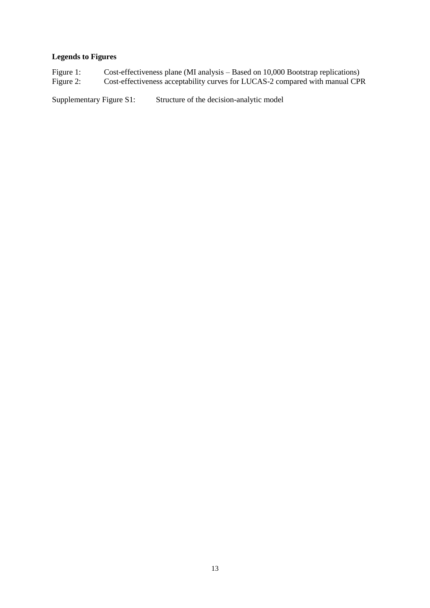# **Legends to Figures**

Figure 1: Cost-effectiveness plane (MI analysis – Based on 10,000 Bootstrap replications) Figure 2: Cost-effectiveness acceptability curves for LUCAS-2 compared with manual CPR

Supplementary Figure S1: Structure of the decision-analytic model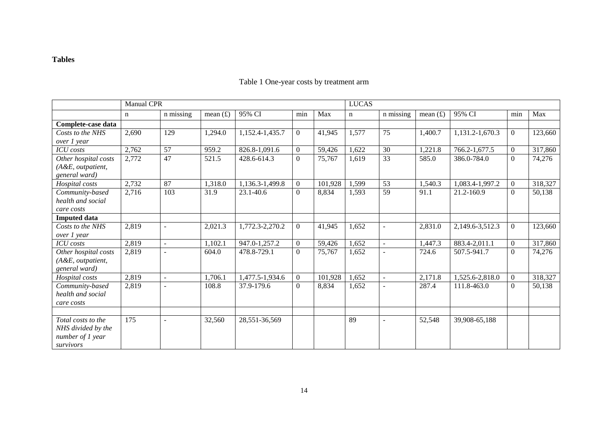## **Tables**

| n missing<br>95% CI<br>Max<br>95% CI<br>Max<br>mean $(f)$<br>n missing<br>mean $(f)$<br>min<br>min<br>$\mathbf n$<br>n<br>Complete-case data<br>2,690<br>$\overline{0}$<br>75<br>1,400.7<br>129<br>1,294.0<br>1,152.4-1,435.7<br>1,577<br>1,131.2-1,670.3<br>$\overline{0}$<br>123,660<br>41,945<br>Costs to the NHS<br>over 1 year<br>57<br>317,860<br>2,762<br>826.8-1,091.6<br>30<br>1,221.8<br>959.2<br>$\overline{0}$<br>59,426<br>1,622<br>766.2-1,677.5<br>$\overline{0}$<br><b>ICU</b> costs<br>47<br>$\overline{33}$<br>2,772<br>Other hospital costs<br>521.5<br>$\overline{0}$<br>585.0<br>$\overline{0}$<br>74,276<br>428.6-614.3<br>75,767<br>1,619<br>386.0-784.0<br>(A&E, outpatient,<br>general ward)<br>2,732<br>87<br>53<br>318,327<br>1,318.0<br>1,136.3-1,499.8<br>$\overline{0}$<br>101,928<br>1,599<br>1,540.3<br>1,083.4-1,997.2<br>Hospital costs<br>$\Omega$<br>103<br>59<br>Community-based<br>31.9<br>$\overline{0}$<br>8,834<br>21.2-160.9<br>2,716<br>23.1-40.6<br>1,593<br>91.1<br>$\overline{0}$<br>50,138<br>health and social<br>care costs<br><b>Imputed data</b><br>2,819<br>$\overline{0}$<br>2,831.0<br>123,660<br>2,021.3<br>1,652<br>$\Omega$<br>Costs to the NHS<br>1,772.3-2,270.2<br>41,945<br>2,149.6-3,512.3<br>over 1 year<br>317,860<br>2,819<br>1,652<br>1,102.1<br>947.0-1,257.2<br>$\overline{0}$<br>59,426<br>1,447.3<br>883.4-2,011.1<br>$\overline{0}$<br><b>ICU</b> costs<br>$\sim$<br>Other hospital costs<br>2,819<br>$\overline{0}$<br>1,652<br>74,276<br>478.8-729.1<br>75,767<br>724.6<br>507.5-941.7<br>$\overline{0}$<br>604.0<br>$\blacksquare$<br>(A&E, outpatient,<br>general ward)<br>2,819<br>2,171.8<br>318,327<br>1,706.1<br>1,477.5-1,934.6<br>$\overline{0}$<br>101,928<br>1,652<br>1,525.6-2,818.0<br>Hospital costs<br>$\overline{0}$<br>$\sim$<br>2,819<br>8,834<br>1,652<br>287.4<br>Community-based<br>108.8<br>37.9-179.6<br>$\overline{0}$<br>111.8-463.0<br>$\Omega$<br>50,138<br>health and social<br>care costs<br>89<br>175<br>Total costs to the<br>32,560<br>28,551-36,569<br>52,548<br>39,908-65,188<br>$\sim$<br>NHS divided by the<br>number of 1 year | <b>Manual CPR</b> |  |  |  |  | <b>LUCAS</b> |  |  |  |  |  |  |
|---------------------------------------------------------------------------------------------------------------------------------------------------------------------------------------------------------------------------------------------------------------------------------------------------------------------------------------------------------------------------------------------------------------------------------------------------------------------------------------------------------------------------------------------------------------------------------------------------------------------------------------------------------------------------------------------------------------------------------------------------------------------------------------------------------------------------------------------------------------------------------------------------------------------------------------------------------------------------------------------------------------------------------------------------------------------------------------------------------------------------------------------------------------------------------------------------------------------------------------------------------------------------------------------------------------------------------------------------------------------------------------------------------------------------------------------------------------------------------------------------------------------------------------------------------------------------------------------------------------------------------------------------------------------------------------------------------------------------------------------------------------------------------------------------------------------------------------------------------------------------------------------------------------------------------------------------------------------------------------------------------------------------------------------------------------------------------------------------------------------------------------------|-------------------|--|--|--|--|--------------|--|--|--|--|--|--|
|                                                                                                                                                                                                                                                                                                                                                                                                                                                                                                                                                                                                                                                                                                                                                                                                                                                                                                                                                                                                                                                                                                                                                                                                                                                                                                                                                                                                                                                                                                                                                                                                                                                                                                                                                                                                                                                                                                                                                                                                                                                                                                                                             |                   |  |  |  |  |              |  |  |  |  |  |  |
|                                                                                                                                                                                                                                                                                                                                                                                                                                                                                                                                                                                                                                                                                                                                                                                                                                                                                                                                                                                                                                                                                                                                                                                                                                                                                                                                                                                                                                                                                                                                                                                                                                                                                                                                                                                                                                                                                                                                                                                                                                                                                                                                             |                   |  |  |  |  |              |  |  |  |  |  |  |
|                                                                                                                                                                                                                                                                                                                                                                                                                                                                                                                                                                                                                                                                                                                                                                                                                                                                                                                                                                                                                                                                                                                                                                                                                                                                                                                                                                                                                                                                                                                                                                                                                                                                                                                                                                                                                                                                                                                                                                                                                                                                                                                                             |                   |  |  |  |  |              |  |  |  |  |  |  |
|                                                                                                                                                                                                                                                                                                                                                                                                                                                                                                                                                                                                                                                                                                                                                                                                                                                                                                                                                                                                                                                                                                                                                                                                                                                                                                                                                                                                                                                                                                                                                                                                                                                                                                                                                                                                                                                                                                                                                                                                                                                                                                                                             |                   |  |  |  |  |              |  |  |  |  |  |  |
|                                                                                                                                                                                                                                                                                                                                                                                                                                                                                                                                                                                                                                                                                                                                                                                                                                                                                                                                                                                                                                                                                                                                                                                                                                                                                                                                                                                                                                                                                                                                                                                                                                                                                                                                                                                                                                                                                                                                                                                                                                                                                                                                             |                   |  |  |  |  |              |  |  |  |  |  |  |
|                                                                                                                                                                                                                                                                                                                                                                                                                                                                                                                                                                                                                                                                                                                                                                                                                                                                                                                                                                                                                                                                                                                                                                                                                                                                                                                                                                                                                                                                                                                                                                                                                                                                                                                                                                                                                                                                                                                                                                                                                                                                                                                                             |                   |  |  |  |  |              |  |  |  |  |  |  |
|                                                                                                                                                                                                                                                                                                                                                                                                                                                                                                                                                                                                                                                                                                                                                                                                                                                                                                                                                                                                                                                                                                                                                                                                                                                                                                                                                                                                                                                                                                                                                                                                                                                                                                                                                                                                                                                                                                                                                                                                                                                                                                                                             |                   |  |  |  |  |              |  |  |  |  |  |  |
|                                                                                                                                                                                                                                                                                                                                                                                                                                                                                                                                                                                                                                                                                                                                                                                                                                                                                                                                                                                                                                                                                                                                                                                                                                                                                                                                                                                                                                                                                                                                                                                                                                                                                                                                                                                                                                                                                                                                                                                                                                                                                                                                             |                   |  |  |  |  |              |  |  |  |  |  |  |
|                                                                                                                                                                                                                                                                                                                                                                                                                                                                                                                                                                                                                                                                                                                                                                                                                                                                                                                                                                                                                                                                                                                                                                                                                                                                                                                                                                                                                                                                                                                                                                                                                                                                                                                                                                                                                                                                                                                                                                                                                                                                                                                                             |                   |  |  |  |  |              |  |  |  |  |  |  |
|                                                                                                                                                                                                                                                                                                                                                                                                                                                                                                                                                                                                                                                                                                                                                                                                                                                                                                                                                                                                                                                                                                                                                                                                                                                                                                                                                                                                                                                                                                                                                                                                                                                                                                                                                                                                                                                                                                                                                                                                                                                                                                                                             |                   |  |  |  |  |              |  |  |  |  |  |  |
|                                                                                                                                                                                                                                                                                                                                                                                                                                                                                                                                                                                                                                                                                                                                                                                                                                                                                                                                                                                                                                                                                                                                                                                                                                                                                                                                                                                                                                                                                                                                                                                                                                                                                                                                                                                                                                                                                                                                                                                                                                                                                                                                             |                   |  |  |  |  |              |  |  |  |  |  |  |
|                                                                                                                                                                                                                                                                                                                                                                                                                                                                                                                                                                                                                                                                                                                                                                                                                                                                                                                                                                                                                                                                                                                                                                                                                                                                                                                                                                                                                                                                                                                                                                                                                                                                                                                                                                                                                                                                                                                                                                                                                                                                                                                                             |                   |  |  |  |  |              |  |  |  |  |  |  |
|                                                                                                                                                                                                                                                                                                                                                                                                                                                                                                                                                                                                                                                                                                                                                                                                                                                                                                                                                                                                                                                                                                                                                                                                                                                                                                                                                                                                                                                                                                                                                                                                                                                                                                                                                                                                                                                                                                                                                                                                                                                                                                                                             |                   |  |  |  |  |              |  |  |  |  |  |  |
|                                                                                                                                                                                                                                                                                                                                                                                                                                                                                                                                                                                                                                                                                                                                                                                                                                                                                                                                                                                                                                                                                                                                                                                                                                                                                                                                                                                                                                                                                                                                                                                                                                                                                                                                                                                                                                                                                                                                                                                                                                                                                                                                             |                   |  |  |  |  |              |  |  |  |  |  |  |
|                                                                                                                                                                                                                                                                                                                                                                                                                                                                                                                                                                                                                                                                                                                                                                                                                                                                                                                                                                                                                                                                                                                                                                                                                                                                                                                                                                                                                                                                                                                                                                                                                                                                                                                                                                                                                                                                                                                                                                                                                                                                                                                                             |                   |  |  |  |  |              |  |  |  |  |  |  |
|                                                                                                                                                                                                                                                                                                                                                                                                                                                                                                                                                                                                                                                                                                                                                                                                                                                                                                                                                                                                                                                                                                                                                                                                                                                                                                                                                                                                                                                                                                                                                                                                                                                                                                                                                                                                                                                                                                                                                                                                                                                                                                                                             |                   |  |  |  |  |              |  |  |  |  |  |  |
|                                                                                                                                                                                                                                                                                                                                                                                                                                                                                                                                                                                                                                                                                                                                                                                                                                                                                                                                                                                                                                                                                                                                                                                                                                                                                                                                                                                                                                                                                                                                                                                                                                                                                                                                                                                                                                                                                                                                                                                                                                                                                                                                             |                   |  |  |  |  |              |  |  |  |  |  |  |
|                                                                                                                                                                                                                                                                                                                                                                                                                                                                                                                                                                                                                                                                                                                                                                                                                                                                                                                                                                                                                                                                                                                                                                                                                                                                                                                                                                                                                                                                                                                                                                                                                                                                                                                                                                                                                                                                                                                                                                                                                                                                                                                                             |                   |  |  |  |  |              |  |  |  |  |  |  |
|                                                                                                                                                                                                                                                                                                                                                                                                                                                                                                                                                                                                                                                                                                                                                                                                                                                                                                                                                                                                                                                                                                                                                                                                                                                                                                                                                                                                                                                                                                                                                                                                                                                                                                                                                                                                                                                                                                                                                                                                                                                                                                                                             |                   |  |  |  |  |              |  |  |  |  |  |  |
|                                                                                                                                                                                                                                                                                                                                                                                                                                                                                                                                                                                                                                                                                                                                                                                                                                                                                                                                                                                                                                                                                                                                                                                                                                                                                                                                                                                                                                                                                                                                                                                                                                                                                                                                                                                                                                                                                                                                                                                                                                                                                                                                             |                   |  |  |  |  |              |  |  |  |  |  |  |
|                                                                                                                                                                                                                                                                                                                                                                                                                                                                                                                                                                                                                                                                                                                                                                                                                                                                                                                                                                                                                                                                                                                                                                                                                                                                                                                                                                                                                                                                                                                                                                                                                                                                                                                                                                                                                                                                                                                                                                                                                                                                                                                                             |                   |  |  |  |  |              |  |  |  |  |  |  |
|                                                                                                                                                                                                                                                                                                                                                                                                                                                                                                                                                                                                                                                                                                                                                                                                                                                                                                                                                                                                                                                                                                                                                                                                                                                                                                                                                                                                                                                                                                                                                                                                                                                                                                                                                                                                                                                                                                                                                                                                                                                                                                                                             |                   |  |  |  |  |              |  |  |  |  |  |  |
|                                                                                                                                                                                                                                                                                                                                                                                                                                                                                                                                                                                                                                                                                                                                                                                                                                                                                                                                                                                                                                                                                                                                                                                                                                                                                                                                                                                                                                                                                                                                                                                                                                                                                                                                                                                                                                                                                                                                                                                                                                                                                                                                             |                   |  |  |  |  |              |  |  |  |  |  |  |
|                                                                                                                                                                                                                                                                                                                                                                                                                                                                                                                                                                                                                                                                                                                                                                                                                                                                                                                                                                                                                                                                                                                                                                                                                                                                                                                                                                                                                                                                                                                                                                                                                                                                                                                                                                                                                                                                                                                                                                                                                                                                                                                                             |                   |  |  |  |  |              |  |  |  |  |  |  |
|                                                                                                                                                                                                                                                                                                                                                                                                                                                                                                                                                                                                                                                                                                                                                                                                                                                                                                                                                                                                                                                                                                                                                                                                                                                                                                                                                                                                                                                                                                                                                                                                                                                                                                                                                                                                                                                                                                                                                                                                                                                                                                                                             |                   |  |  |  |  |              |  |  |  |  |  |  |
|                                                                                                                                                                                                                                                                                                                                                                                                                                                                                                                                                                                                                                                                                                                                                                                                                                                                                                                                                                                                                                                                                                                                                                                                                                                                                                                                                                                                                                                                                                                                                                                                                                                                                                                                                                                                                                                                                                                                                                                                                                                                                                                                             |                   |  |  |  |  |              |  |  |  |  |  |  |
| survivors                                                                                                                                                                                                                                                                                                                                                                                                                                                                                                                                                                                                                                                                                                                                                                                                                                                                                                                                                                                                                                                                                                                                                                                                                                                                                                                                                                                                                                                                                                                                                                                                                                                                                                                                                                                                                                                                                                                                                                                                                                                                                                                                   |                   |  |  |  |  |              |  |  |  |  |  |  |

## Table 1 One-year costs by treatment arm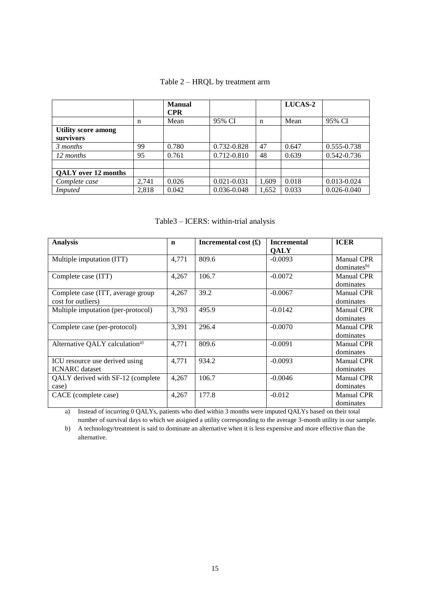## Table 2 – HRQL by treatment arm

|                                         |       | <b>Manual</b><br><b>CPR</b> |                 |       | <b>LUCAS-2</b> |                 |
|-----------------------------------------|-------|-----------------------------|-----------------|-------|----------------|-----------------|
|                                         | n     | Mean                        | 95% CI          | n     | Mean           | 95% CI          |
| <b>Utility score among</b><br>survivors |       |                             |                 |       |                |                 |
| 3 months                                | 99    | 0.780                       | 0.732-0.828     | 47    | 0.647          | 0.555-0.738     |
| 12 months                               | 95    | 0.761                       | 0.712-0.810     | 48    | 0.639          | $0.542 - 0.736$ |
|                                         |       |                             |                 |       |                |                 |
| <b>OALY</b> over 12 months              |       |                             |                 |       |                |                 |
| Complete case                           | 2.741 | 0.026                       | $0.021 - 0.031$ | 1,609 | 0.018          | $0.013 - 0.024$ |
| <i>Imputed</i>                          | 2.818 | 0.042                       | 0.036-0.048     | 1,652 | 0.033          | $0.026 - 0.040$ |

## Table3 – ICERS: within-trial analysis

| <b>Analysis</b>                            | $\mathbf n$ | Incremental cost $(\textbf{\pounds})$ | <b>Incremental</b> | <b>ICER</b>             |
|--------------------------------------------|-------------|---------------------------------------|--------------------|-------------------------|
|                                            |             |                                       | <b>OALY</b>        |                         |
| Multiple imputation (ITT)                  | 4,771       | 809.6                                 | $-0.0093$          | <b>Manual CPR</b>       |
|                                            |             |                                       |                    | dominates <sup>b)</sup> |
| Complete case (ITT)                        | 4,267       | 106.7                                 | $-0.0072$          | <b>Manual CPR</b>       |
|                                            |             |                                       |                    | dominates               |
| Complete case (ITT, average group          | 4,267       | 39.2                                  | $-0.0067$          | <b>Manual CPR</b>       |
| cost for outliers)                         |             |                                       |                    | dominates               |
| Multiple imputation (per-protocol)         | 3,793       | 495.9                                 | $-0.0142$          | <b>Manual CPR</b>       |
|                                            |             |                                       |                    | dominates               |
| Complete case (per-protocol)               | 3,391       | 296.4                                 | $-0.0070$          | Manual CPR              |
|                                            |             |                                       |                    | dominates               |
| Alternative QALY calculation <sup>a)</sup> | 4,771       | 809.6                                 | $-0.0091$          | <b>Manual CPR</b>       |
|                                            |             |                                       |                    | dominates               |
| ICU resource use derived using             | 4,771       | 934.2                                 | $-0.0093$          | <b>Manual CPR</b>       |
| <b>ICNARC</b> dataset                      |             |                                       |                    | dominates               |
| QALY derived with SF-12 (complete)         | 4,267       | 106.7                                 | $-0.0046$          | <b>Manual CPR</b>       |
| case)                                      |             |                                       |                    | dominates               |
| CACE (complete case)                       | 4,267       | 177.8                                 | $-0.012$           | <b>Manual CPR</b>       |
|                                            |             |                                       |                    | dominates               |

a) Instead of incurring 0 QALYs, patients who died within 3 months were imputed QALYs based on their total number of survival days to which we assigned a utility corresponding to the average 3-month utility in our sample.

b) A technology/treatment is said to dominate an alternative when it is less expensive and more effective than the alternative.